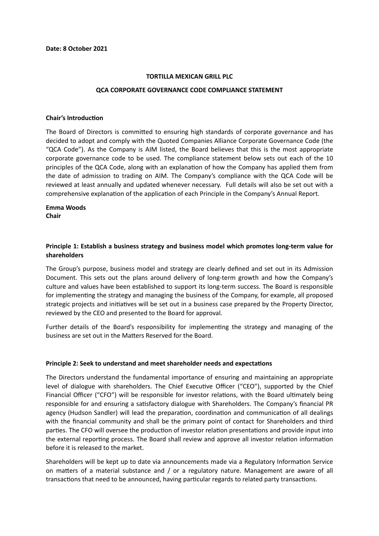#### **TORTILLA MEXICAN GRILL PLC**

#### **QCA CORPORATE GOVERNANCE CODE COMPLIANCE STATEMENT**

#### **Chair's Introduction**

The Board of Directors is committed to ensuring high standards of corporate governance and has decided to adopt and comply with the Quoted Companies Alliance Corporate Governance Code (the "QCA Code"). As the Company is AIM listed, the Board believes that this is the most appropriate corporate governance code to be used. The compliance statement below sets out each of the 10 principles of the QCA Code, along with an explanation of how the Company has applied them from the date of admission to trading on AIM. The Company's compliance with the QCA Code will be reviewed at least annually and updated whenever necessary. Full details will also be set out with a comprehensive explanation of the application of each Principle in the Company's Annual Report.

# **Emma Woods**

**Chair**

## **Principle 1: Establish a business strategy and business model which promotes long-term value for shareholders**

The Group's purpose, business model and strategy are clearly defined and set out in its Admission Document. This sets out the plans around delivery of long-term growth and how the Company's culture and values have been established to support its long-term success. The Board is responsible for implementing the strategy and managing the business of the Company, for example, all proposed strategic projects and initiatives will be set out in a business case prepared by the Property Director, reviewed by the CEO and presented to the Board for approval.

Further details of the Board's responsibility for implementing the strategy and managing of the business are set out in the Matters Reserved for the Board.

#### **Principle 2: Seek to understand and meet shareholder needs and expectations**

The Directors understand the fundamental importance of ensuring and maintaining an appropriate level of dialogue with shareholders. The Chief Executive Officer ("CEO"), supported by the Chief Financial Officer ("CFO") will be responsible for investor relations, with the Board ultimately being responsible for and ensuring a satisfactory dialogue with Shareholders. The Company's financial PR agency (Hudson Sandler) will lead the preparation, coordination and communication of all dealings with the financial community and shall be the primary point of contact for Shareholders and third parties. The CFO will oversee the production of investor relation presentations and provide input into the external reporting process. The Board shall review and approve all investor relation information before it is released to the market.

Shareholders will be kept up to date via announcements made via a Regulatory Information Service on matters of a material substance and / or a regulatory nature. Management are aware of all transactions that need to be announced, having particular regards to related party transactions.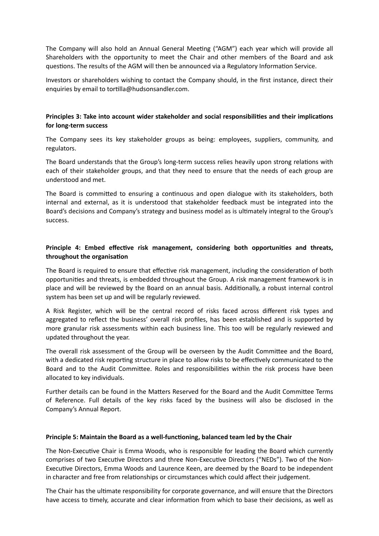The Company will also hold an Annual General Meeting ("AGM") each year which will provide all Shareholders with the opportunity to meet the Chair and other members of the Board and ask questions. The results of the AGM will then be announced via a Regulatory Information Service.

Investors or shareholders wishing to contact the Company should, in the first instance, direct their enquiries by email to tortilla@hudsonsandler.com.

# **Principles 3: Take into account wider stakeholder and social responsibilities and their implications for long-term success**

The Company sees its key stakeholder groups as being: employees, suppliers, community, and regulators.

The Board understands that the Group's long-term success relies heavily upon strong relations with each of their stakeholder groups, and that they need to ensure that the needs of each group are understood and met.

The Board is committed to ensuring a continuous and open dialogue with its stakeholders, both internal and external, as it is understood that stakeholder feedback must be integrated into the Board's decisions and Company's strategy and business model as is ultimately integral to the Group's success.

# **Principle 4: Embed effective risk management, considering both opportunities and threats, throughout the organisation**

The Board is required to ensure that effective risk management, including the consideration of both opportunities and threats, is embedded throughout the Group. A risk management framework is in place and will be reviewed by the Board on an annual basis. Additionally, a robust internal control system has been set up and will be regularly reviewed.

A Risk Register, which will be the central record of risks faced across different risk types and aggregated to reflect the business' overall risk profiles, has been established and is supported by more granular risk assessments within each business line. This too will be regularly reviewed and updated throughout the year.

The overall risk assessment of the Group will be overseen by the Audit Committee and the Board, with a dedicated risk reporting structure in place to allow risks to be effectively communicated to the Board and to the Audit Committee. Roles and responsibilities within the risk process have been allocated to key individuals.

Further details can be found in the Matters Reserved for the Board and the Audit Committee Terms of Reference. Full details of the key risks faced by the business will also be disclosed in the Company's Annual Report.

## **Principle 5: Maintain the Board as a well-functioning, balanced team led by the Chair**

The Non-Executive Chair is Emma Woods, who is responsible for leading the Board which currently comprises of two Executive Directors and three Non-Executive Directors ("NEDs"). Two of the Non-Executive Directors, Emma Woods and Laurence Keen, are deemed by the Board to be independent in character and free from relationships or circumstances which could affect their judgement.

The Chair has the ultimate responsibility for corporate governance, and will ensure that the Directors have access to timely, accurate and clear information from which to base their decisions, as well as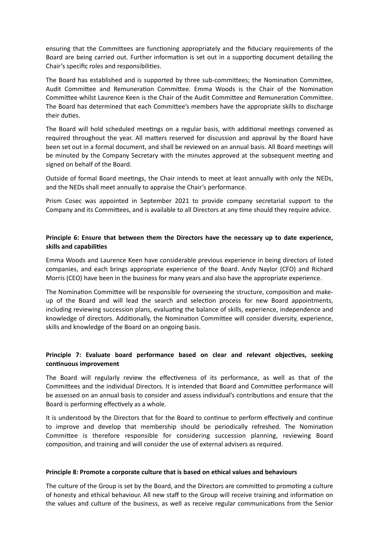ensuring that the Committees are functioning appropriately and the fiduciary requirements of the Board are being carried out. Further information is set out in a supporting document detailing the Chair's specific roles and responsibilities.

The Board has established and is supported by three sub-committees; the Nomination Committee, Audit Committee and Remuneration Committee. Emma Woods is the Chair of the Nomination Committee whilst Laurence Keen is the Chair of the Audit Committee and Remuneration Committee. The Board has determined that each Committee's members have the appropriate skills to discharge their duties.

The Board will hold scheduled meetings on a regular basis, with additional meetings convened as required throughout the year. All matters reserved for discussion and approval by the Board have been set out in a formal document, and shall be reviewed on an annual basis. All Board meetings will be minuted by the Company Secretary with the minutes approved at the subsequent meeting and signed on behalf of the Board.

Outside of formal Board meetings, the Chair intends to meet at least annually with only the NEDs, and the NEDs shall meet annually to appraise the Chair's performance.

Prism Cosec was appointed in September 2021 to provide company secretarial support to the Company and its Committees, and is available to all Directors at any time should they require advice.

## **Principle 6: Ensure that between them the Directors have the necessary up to date experience, skills and capabilities**

Emma Woods and Laurence Keen have considerable previous experience in being directors of listed companies, and each brings appropriate experience of the Board. Andy Naylor (CFO) and Richard Morris (CEO) have been in the business for many years and also have the appropriate experience.

The Nomination Committee will be responsible for overseeing the structure, composition and makeup of the Board and will lead the search and selection process for new Board appointments, including reviewing succession plans, evaluating the balance of skills, experience, independence and knowledge of directors. Additionally, the Nomination Committee will consider diversity, experience, skills and knowledge of the Board on an ongoing basis.

# **Principle 7: Evaluate board performance based on clear and relevant objectives, seeking continuous improvement**

The Board will regularly review the effectiveness of its performance, as well as that of the Committees and the individual Directors. It is intended that Board and Committee performance will be assessed on an annual basis to consider and assess individual's contributions and ensure that the Board is performing effectively as a whole.

It is understood by the Directors that for the Board to continue to perform effectively and continue to improve and develop that membership should be periodically refreshed. The Nomination Committee is therefore responsible for considering succession planning, reviewing Board composition, and training and will consider the use of external advisers as required.

## **Principle 8: Promote a corporate culture that is based on ethical values and behaviours**

The culture of the Group is set by the Board, and the Directors are committed to promoting a culture of honesty and ethical behaviour. All new staff to the Group will receive training and information on the values and culture of the business, as well as receive regular communications from the Senior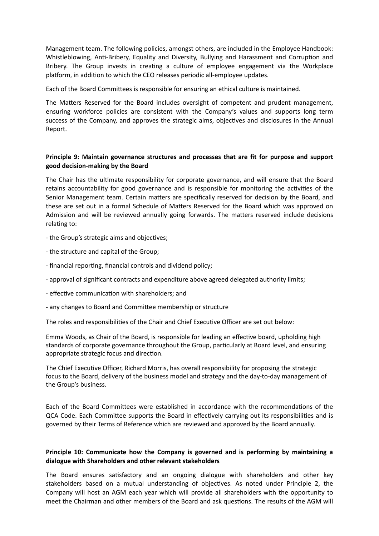Management team. The following policies, amongst others, are included in the Employee Handbook: Whistleblowing, Anti-Bribery, Equality and Diversity, Bullying and Harassment and Corruption and Bribery. The Group invests in creating a culture of employee engagement via the Workplace platform, in addition to which the CEO releases periodic all-employee updates.

Each of the Board Committees is responsible for ensuring an ethical culture is maintained.

The Matters Reserved for the Board includes oversight of competent and prudent management, ensuring workforce policies are consistent with the Company's values and supports long term success of the Company, and approves the strategic aims, objectives and disclosures in the Annual Report.

## **Principle 9: Maintain governance structures and processes that are fit for purpose and support good decision-making by the Board**

The Chair has the ultimate responsibility for corporate governance, and will ensure that the Board retains accountability for good governance and is responsible for monitoring the activities of the Senior Management team. Certain matters are specifically reserved for decision by the Board, and these are set out in a formal Schedule of Matters Reserved for the Board which was approved on Admission and will be reviewed annually going forwards. The matters reserved include decisions relating to:

- the Group's strategic aims and objectives;

- the structure and capital of the Group;
- financial reporting, financial controls and dividend policy;
- approval of significant contracts and expenditure above agreed delegated authority limits;
- effective communication with shareholders; and
- any changes to Board and Committee membership or structure

The roles and responsibilities of the Chair and Chief Executive Officer are set out below:

Emma Woods, as Chair of the Board, is responsible for leading an effective board, upholding high standards of corporate governance throughout the Group, particularly at Board level, and ensuring appropriate strategic focus and direction.

The Chief Executive Officer, Richard Morris, has overall responsibility for proposing the strategic focus to the Board, delivery of the business model and strategy and the day-to-day management of the Group's business.

Each of the Board Committees were established in accordance with the recommendations of the QCA Code. Each Committee supports the Board in effectively carrying out its responsibilities and is governed by their Terms of Reference which are reviewed and approved by the Board annually.

# **Principle 10: Communicate how the Company is governed and is performing by maintaining a dialogue with Shareholders and other relevant stakeholders**

The Board ensures satisfactory and an ongoing dialogue with shareholders and other key stakeholders based on a mutual understanding of objectives. As noted under Principle 2, the Company will host an AGM each year which will provide all shareholders with the opportunity to meet the Chairman and other members of the Board and ask questions. The results of the AGM will